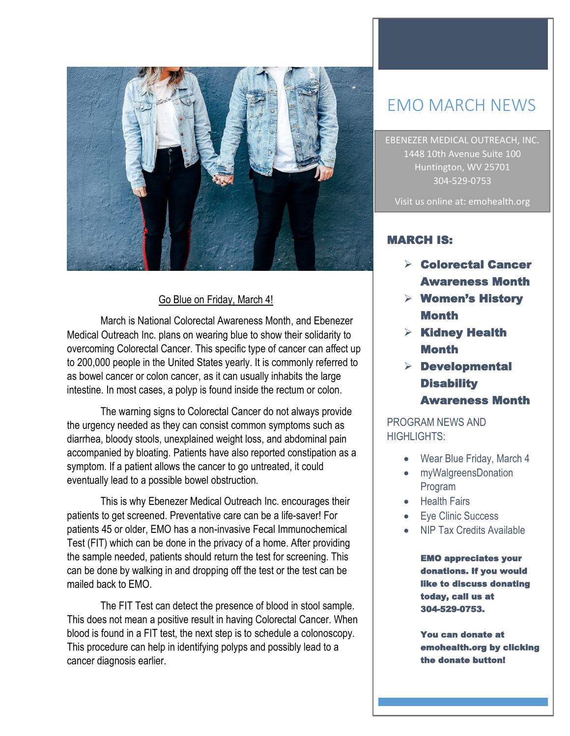

## Go Blue on Friday, March 4!

March is National Colorectal Awareness Month, and Ebenezer Medical Outreach Inc. plans on wearing blue to show their solidarity to overcoming Colorectal Cancer. This specific type of cancer can affect up to 200,000 people in the United States yearly. It is commonly referred to as bowel cancer or colon cancer, as it can usually inhabits the large intestine. In most cases, a polyp is found inside the rectum or colon.

The warning signs to Colorectal Cancer do not always provide the urgency needed as they can consist common symptoms such as diarrhea, bloody stools, unexplained weight loss, and abdominal pain accompanied by bloating. Patients have also reported constipation as a symptom. If a patient allows the cancer to go untreated, it could eventually lead to a possible bowel obstruction.

This is why Ebenezer Medical Outreach Inc. encourages their patients to get screened. Preventative care can be a life-saver! For patients 45 or older, EMO has a non-invasive Fecal Immunochemical Test (FIT) which can be done in the privacy of a home. After providing the sample needed, patients should return the test for screening. This can be done by walking in and dropping off the test or the test can be mailed back to EMO.

The FIT Test can detect the presence of blood in stool sample. This does not mean a positive result in having Colorectal Cancer. When blood is found in a FIT test, the next step is to schedule a colonoscopy. This procedure can help in identifying polyps and possibly lead to a cancer diagnosis earlier.

# EMO MARCH NEWS

EBENEZER MEDICAL OUTREACH, INC. 1448 10th Avenue Suite 100 Huntington, WV 25701 304-529-0753

Visit us online at: emohealth.org

## MARCH IS:

- Colorectal Cancer Awareness Month
- $\triangleright$  Women's History Month
- $\triangleright$  Kidney Health Month
- $\triangleright$  Developmental **Disability** Awareness Month

# PROGRAM NEWS AND HIGHLIGHTS:

- Wear Blue Friday, March 4
- myWalgreensDonation Program
- Health Fairs
- Eye Clinic Success
- NIP Tax Credits Available

EMO appreciates your donations. If you would like to discuss donating today, call us at 304-529-0753.

You can donate at emohealth.org by clicking the donate button!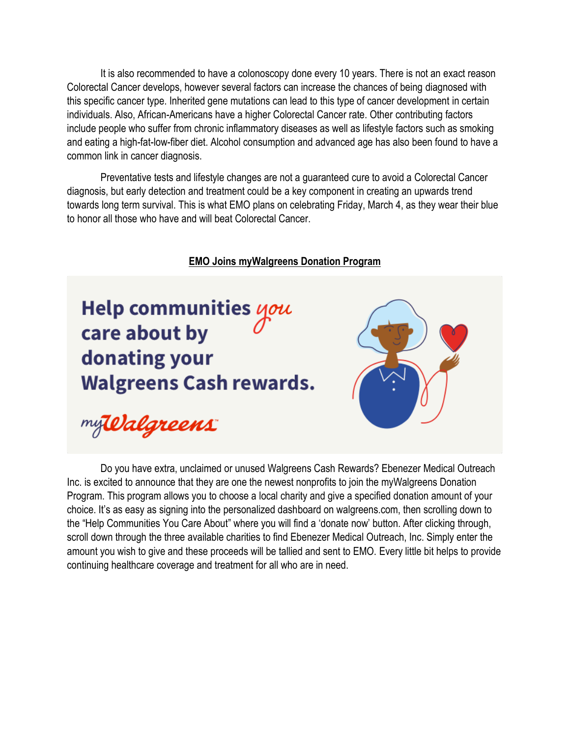It is also recommended to have a colonoscopy done every 10 years. There is not an exact reason Colorectal Cancer develops, however several factors can increase the chances of being diagnosed with this specific cancer type. Inherited gene mutations can lead to this type of cancer development in certain individuals. Also, African-Americans have a higher Colorectal Cancer rate. Other contributing factors include people who suffer from chronic inflammatory diseases as well as lifestyle factors such as smoking and eating a high-fat-low-fiber diet. Alcohol consumption and advanced age has also been found to have a common link in cancer diagnosis.

Preventative tests and lifestyle changes are not a guaranteed cure to avoid a Colorectal Cancer diagnosis, but early detection and treatment could be a key component in creating an upwards trend towards long term survival. This is what EMO plans on celebrating Friday, March 4, as they wear their blue to honor all those who have and will beat Colorectal Cancer.

#### **EMO Joins myWalgreens Donation Program**

Help communities you care about by donating your **Walgreens Cash rewards.** 



my Valgreens

Do you have extra, unclaimed or unused Walgreens Cash Rewards? Ebenezer Medical Outreach Inc. is excited to announce that they are one the newest nonprofits to join the myWalgreens Donation Program. This program allows you to choose a local charity and give a specified donation amount of your choice. It's as easy as signing into the personalized dashboard on walgreens.com, then scrolling down to the "Help Communities You Care About" where you will find a 'donate now' button. After clicking through, scroll down through the three available charities to find Ebenezer Medical Outreach, Inc. Simply enter the amount you wish to give and these proceeds will be tallied and sent to EMO. Every little bit helps to provide continuing healthcare coverage and treatment for all who are in need.